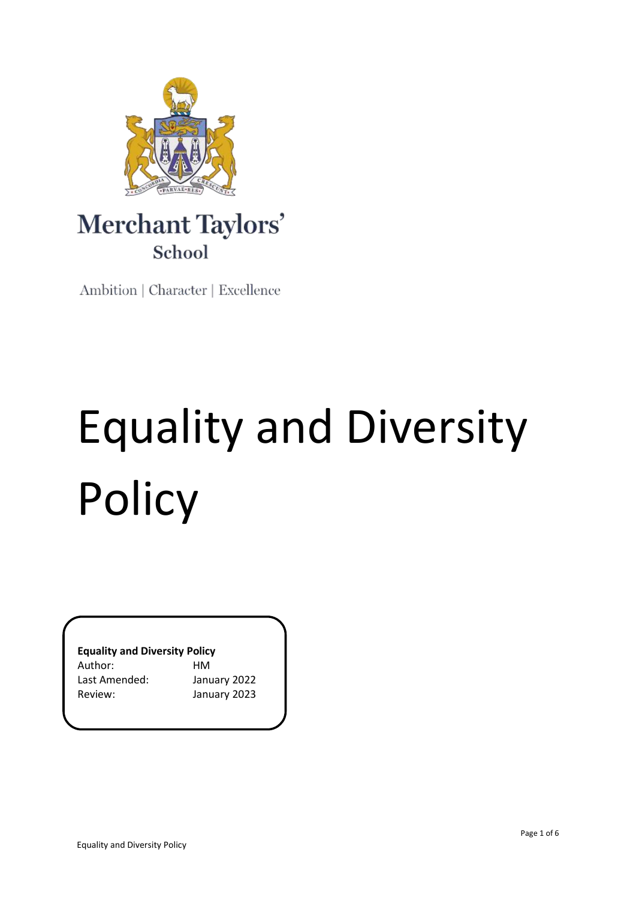

# Merchant Taylors' School

Ambition | Character | Excellence

# Equality and Diversity Policy

**Equality and Diversity Policy**

Author: HM Last Amended: January 2022

Review: January 2023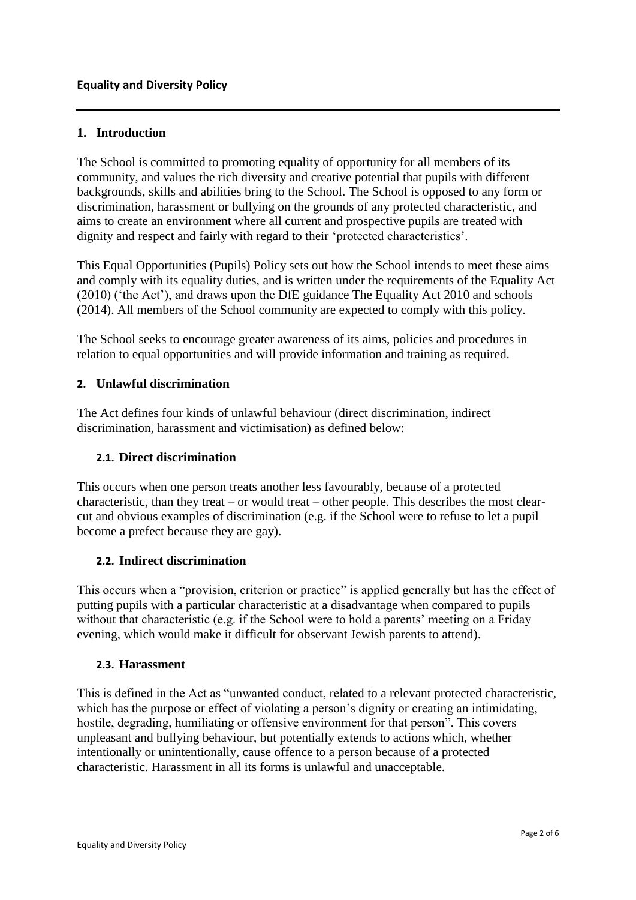# **1. Introduction**

The School is committed to promoting equality of opportunity for all members of its community, and values the rich diversity and creative potential that pupils with different backgrounds, skills and abilities bring to the School. The School is opposed to any form or discrimination, harassment or bullying on the grounds of any protected characteristic, and aims to create an environment where all current and prospective pupils are treated with dignity and respect and fairly with regard to their 'protected characteristics'.

This Equal Opportunities (Pupils) Policy sets out how the School intends to meet these aims and comply with its equality duties, and is written under the requirements of the Equality Act (2010) ('the Act'), and draws upon the DfE guidance The Equality Act 2010 and schools (2014). All members of the School community are expected to comply with this policy.

The School seeks to encourage greater awareness of its aims, policies and procedures in relation to equal opportunities and will provide information and training as required.

### **2. Unlawful discrimination**

The Act defines four kinds of unlawful behaviour (direct discrimination, indirect discrimination, harassment and victimisation) as defined below:

# **2.1. Direct discrimination**

This occurs when one person treats another less favourably, because of a protected characteristic, than they treat – or would treat – other people. This describes the most clearcut and obvious examples of discrimination (e.g. if the School were to refuse to let a pupil become a prefect because they are gay).

#### **2.2. Indirect discrimination**

This occurs when a "provision, criterion or practice" is applied generally but has the effect of putting pupils with a particular characteristic at a disadvantage when compared to pupils without that characteristic (e.g. if the School were to hold a parents' meeting on a Friday evening, which would make it difficult for observant Jewish parents to attend).

#### **2.3. Harassment**

This is defined in the Act as "unwanted conduct, related to a relevant protected characteristic, which has the purpose or effect of violating a person's dignity or creating an intimidating, hostile, degrading, humiliating or offensive environment for that person". This covers unpleasant and bullying behaviour, but potentially extends to actions which, whether intentionally or unintentionally, cause offence to a person because of a protected characteristic. Harassment in all its forms is unlawful and unacceptable.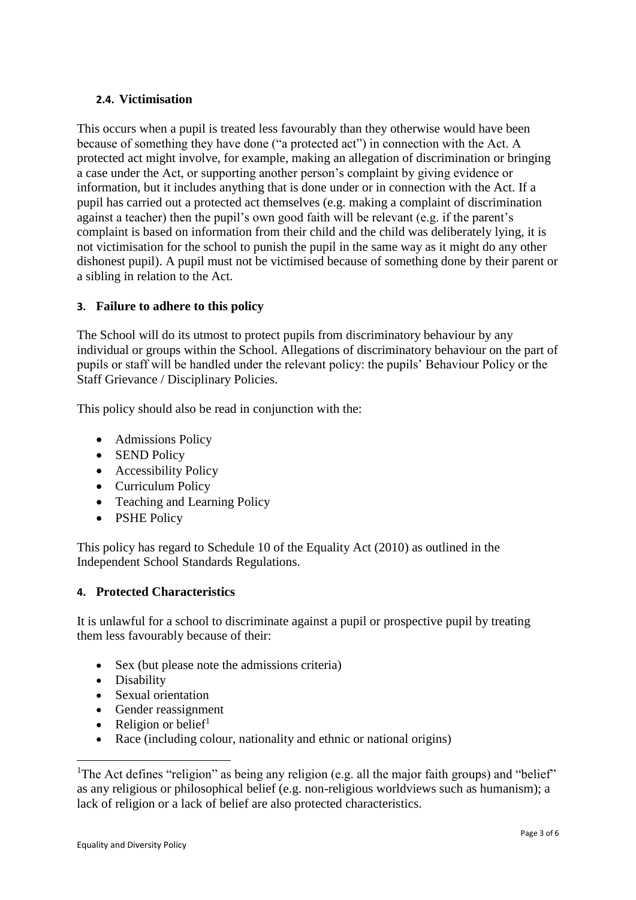### **2.4. Victimisation**

This occurs when a pupil is treated less favourably than they otherwise would have been because of something they have done ("a protected act") in connection with the Act. A protected act might involve, for example, making an allegation of discrimination or bringing a case under the Act, or supporting another person's complaint by giving evidence or information, but it includes anything that is done under or in connection with the Act. If a pupil has carried out a protected act themselves (e.g. making a complaint of discrimination against a teacher) then the pupil's own good faith will be relevant (e.g. if the parent's complaint is based on information from their child and the child was deliberately lying, it is not victimisation for the school to punish the pupil in the same way as it might do any other dishonest pupil). A pupil must not be victimised because of something done by their parent or a sibling in relation to the Act.

# **3. Failure to adhere to this policy**

The School will do its utmost to protect pupils from discriminatory behaviour by any individual or groups within the School. Allegations of discriminatory behaviour on the part of pupils or staff will be handled under the relevant policy: the pupils' Behaviour Policy or the Staff Grievance / Disciplinary Policies.

This policy should also be read in conjunction with the:

- Admissions Policy
- SEND Policy
- Accessibility Policy
- Curriculum Policy
- Teaching and Learning Policy
- PSHE Policy

This policy has regard to Schedule 10 of the Equality Act (2010) as outlined in the Independent School Standards Regulations.

# **4. Protected Characteristics**

It is unlawful for a school to discriminate against a pupil or prospective pupil by treating them less favourably because of their:

- Sex (but please note the admissions criteria)
- Disability

1

- Sexual orientation
- Gender reassignment
- Religion or belief $1$
- Race (including colour, nationality and ethnic or national origins)

<sup>1</sup>The Act defines "religion" as being any religion (e.g. all the major faith groups) and "belief" as any religious or philosophical belief (e.g. non-religious worldviews such as humanism); a lack of religion or a lack of belief are also protected characteristics.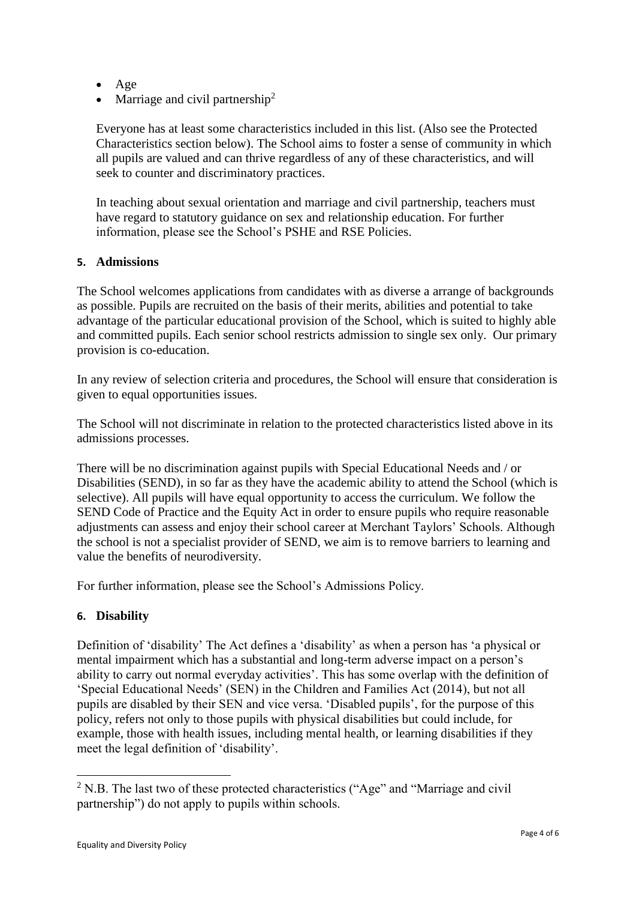- $\bullet$  Age
- Marriage and civil partnership<sup>2</sup>

Everyone has at least some characteristics included in this list. (Also see the Protected Characteristics section below). The School aims to foster a sense of community in which all pupils are valued and can thrive regardless of any of these characteristics, and will seek to counter and discriminatory practices.

In teaching about sexual orientation and marriage and civil partnership, teachers must have regard to statutory guidance on sex and relationship education. For further information, please see the School's PSHE and RSE Policies.

### **5. Admissions**

The School welcomes applications from candidates with as diverse a arrange of backgrounds as possible. Pupils are recruited on the basis of their merits, abilities and potential to take advantage of the particular educational provision of the School, which is suited to highly able and committed pupils. Each senior school restricts admission to single sex only. Our primary provision is co-education.

In any review of selection criteria and procedures, the School will ensure that consideration is given to equal opportunities issues.

The School will not discriminate in relation to the protected characteristics listed above in its admissions processes.

There will be no discrimination against pupils with Special Educational Needs and / or Disabilities (SEND), in so far as they have the academic ability to attend the School (which is selective). All pupils will have equal opportunity to access the curriculum. We follow the SEND Code of Practice and the Equity Act in order to ensure pupils who require reasonable adjustments can assess and enjoy their school career at Merchant Taylors' Schools. Although the school is not a specialist provider of SEND, we aim is to remove barriers to learning and value the benefits of neurodiversity.

For further information, please see the School's Admissions Policy.

# **6. Disability**

1

Definition of 'disability' The Act defines a 'disability' as when a person has 'a physical or mental impairment which has a substantial and long-term adverse impact on a person's ability to carry out normal everyday activities'. This has some overlap with the definition of 'Special Educational Needs' (SEN) in the Children and Families Act (2014), but not all pupils are disabled by their SEN and vice versa. 'Disabled pupils', for the purpose of this policy, refers not only to those pupils with physical disabilities but could include, for example, those with health issues, including mental health, or learning disabilities if they meet the legal definition of 'disability'.

<sup>&</sup>lt;sup>2</sup> N.B. The last two of these protected characteristics ("Age" and "Marriage and civil partnership") do not apply to pupils within schools.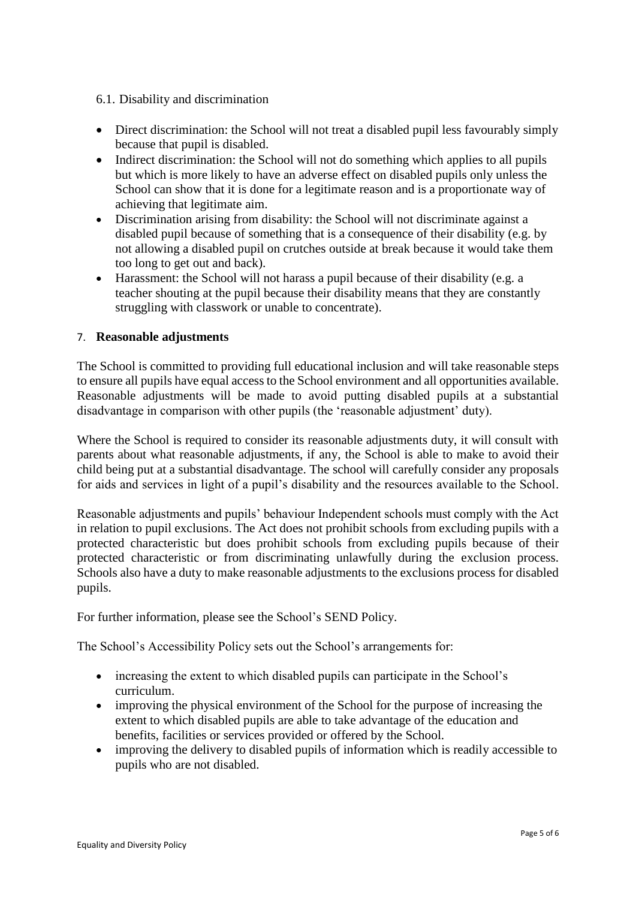### 6.1. Disability and discrimination

- Direct discrimination: the School will not treat a disabled pupil less favourably simply because that pupil is disabled.
- Indirect discrimination: the School will not do something which applies to all pupils but which is more likely to have an adverse effect on disabled pupils only unless the School can show that it is done for a legitimate reason and is a proportionate way of achieving that legitimate aim.
- Discrimination arising from disability: the School will not discriminate against a disabled pupil because of something that is a consequence of their disability (e.g. by not allowing a disabled pupil on crutches outside at break because it would take them too long to get out and back).
- Harassment: the School will not harass a pupil because of their disability (e.g. a teacher shouting at the pupil because their disability means that they are constantly struggling with classwork or unable to concentrate).

## 7. **Reasonable adjustments**

The School is committed to providing full educational inclusion and will take reasonable steps to ensure all pupils have equal access to the School environment and all opportunities available. Reasonable adjustments will be made to avoid putting disabled pupils at a substantial disadvantage in comparison with other pupils (the 'reasonable adjustment' duty).

Where the School is required to consider its reasonable adjustments duty, it will consult with parents about what reasonable adjustments, if any, the School is able to make to avoid their child being put at a substantial disadvantage. The school will carefully consider any proposals for aids and services in light of a pupil's disability and the resources available to the School.

Reasonable adjustments and pupils' behaviour Independent schools must comply with the Act in relation to pupil exclusions. The Act does not prohibit schools from excluding pupils with a protected characteristic but does prohibit schools from excluding pupils because of their protected characteristic or from discriminating unlawfully during the exclusion process. Schools also have a duty to make reasonable adjustments to the exclusions process for disabled pupils.

For further information, please see the School's SEND Policy.

The School's Accessibility Policy sets out the School's arrangements for:

- increasing the extent to which disabled pupils can participate in the School's curriculum.
- improving the physical environment of the School for the purpose of increasing the extent to which disabled pupils are able to take advantage of the education and benefits, facilities or services provided or offered by the School.
- improving the delivery to disabled pupils of information which is readily accessible to pupils who are not disabled.